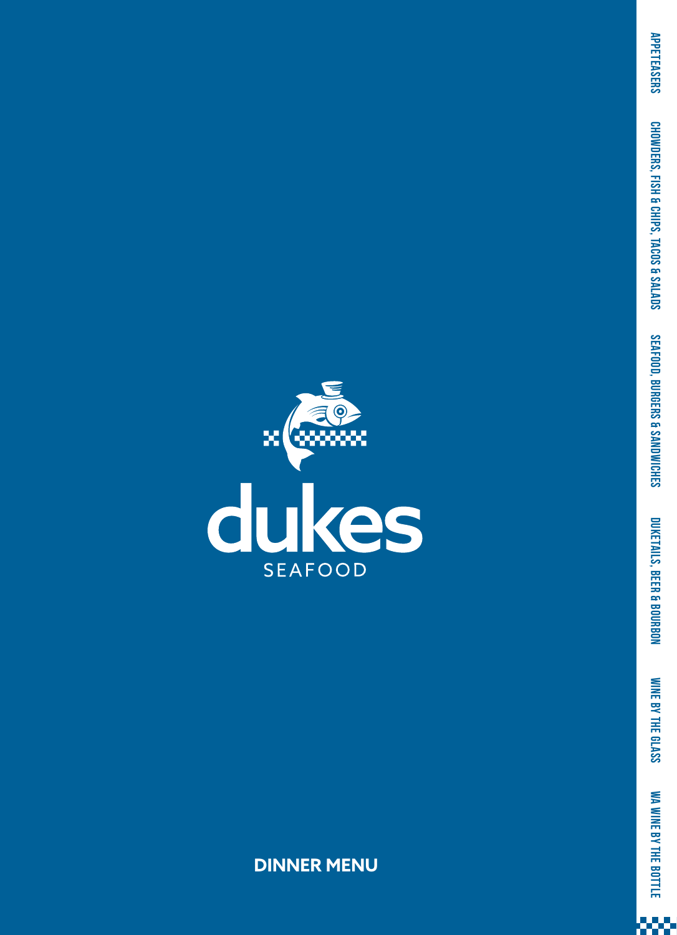

**APPETEASERS** 

CHOWDERS, FISH & CHIPS, TACOS & SALADS

666

**DINNER MENU**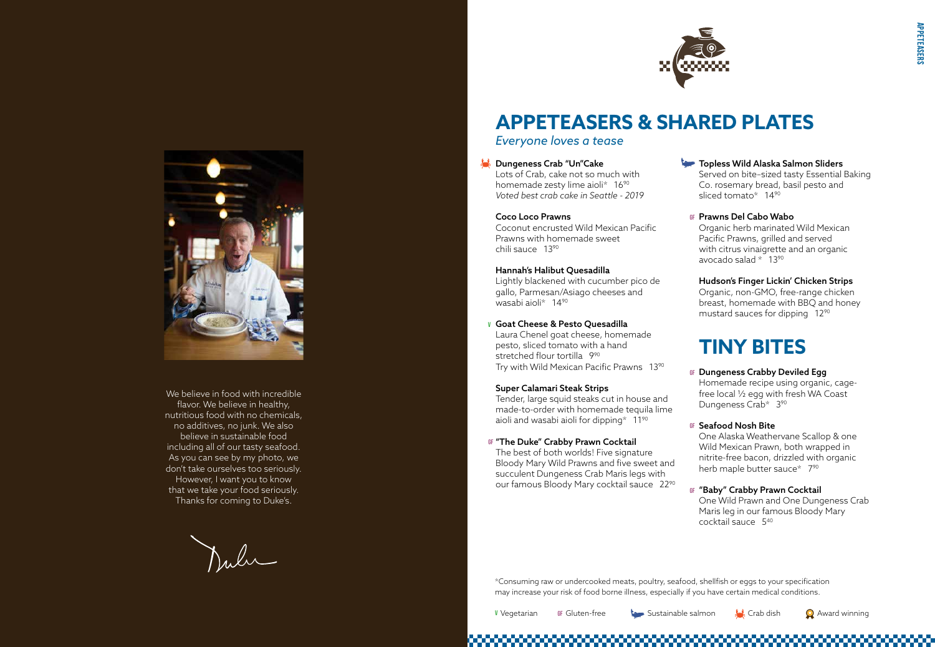



## **APPETEASERS & SHARED PLATES** *Everyone loves a tease*

#### **Dungeness Crab "Un"Cake**

Lots of Crab, cake not so much with homemade zesty lime aioli\* 16<sup>90</sup> *Voted best crab cake in Seattle - 2019*

#### Coco Loco Prawns

Coconut encrusted Wild Mexican Pacific Prawns with homemade sweet chili sauce 1390

#### Hannah's Halibut Quesadilla

Lightly blackened with cucumber pico de gallo, Parmesan/Asiago cheeses and wasabi aioli\* 1490

The best of both worlds! Five signature Bloody Mary Wild Prawns and five sweet and succulent Dungeness Crab Maris legs with our famous Bloody Mary cocktail sauce 22<sup>90</sup> Served on bite–sized tasty Essential Baking Co. rosemary bread, basil pesto and sliced tomato\* 14<sup>90</sup>

Laura Chenel goat cheese, homemade pesto, sliced tomato with a hand stretched flour tortilla 990 Try with Wild Mexican Pacific Prawns 1390

#### Super Calamari Steak Strips

Tender, large squid steaks cut in house and made-to-order with homemade tequila lime aioli and wasabi aioli for dipping\* 1190

> One Alaska Weathervane Scallop & one Wild Mexican Prawn, both wrapped in nitrite-free bacon, drizzled with organic herb maple butter sauce\* 7<sup>90</sup>

### Topless Wild Alaska Salmon Sliders

Organic herb marinated Wild Mexican Pacific Prawns, grilled and served with citrus vinaigrette and an organic avocado salad \* 1390

#### Goat Cheese & Pesto Quesadilla **V**

#### Hudson's Finger Lickin' Chicken Strips Organic, non-GMO, free-range chicken breast, homemade with BBQ and honey mustard sauces for dipping 1290

#### "The Duke" Crabby Prawn Cocktail **GF**

We believe in food with incredible flavor. We believe in healthy, nutritious food with no chemicals, no additives, no junk. We also believe in sustainable food including all of our tasty seafood. As you can see by my photo, we don't take ourselves too seriously. However, I want you to know that we take your food seriously. Thanks for coming to Duke's.

Dubi

### Prawns Del Cabo Wabo **GF**

## **TINY BITES**

Homemade recipe using organic, cagefree local ½ egg with fresh WA Coast Dungeness Crab\* 390

### <sup>GF</sup> Seafood Nosh Bite

### Dungeness Crabby Deviled Egg **GF**

### "Baby" Crabby Prawn Cocktail **GF**

One Wild Prawn and One Dungeness Crab Maris leg in our famous Bloody Mary cocktail sauce 540



GF Gluten-free Sustainable salmon Sustainable salmon Sustainable salmon Sustainable Sustainable Sustainable Sustainable Sustainable Sustainable Sustainable Sustainable Sustainable Sustainable Sustainable Sustainable Sustai

\*Consuming raw or undercooked meats, poultry, seafood, shellfish or eggs to your specification may increase your risk of food borne illness, especially if you have certain medical conditions.

**V** Vegetarian

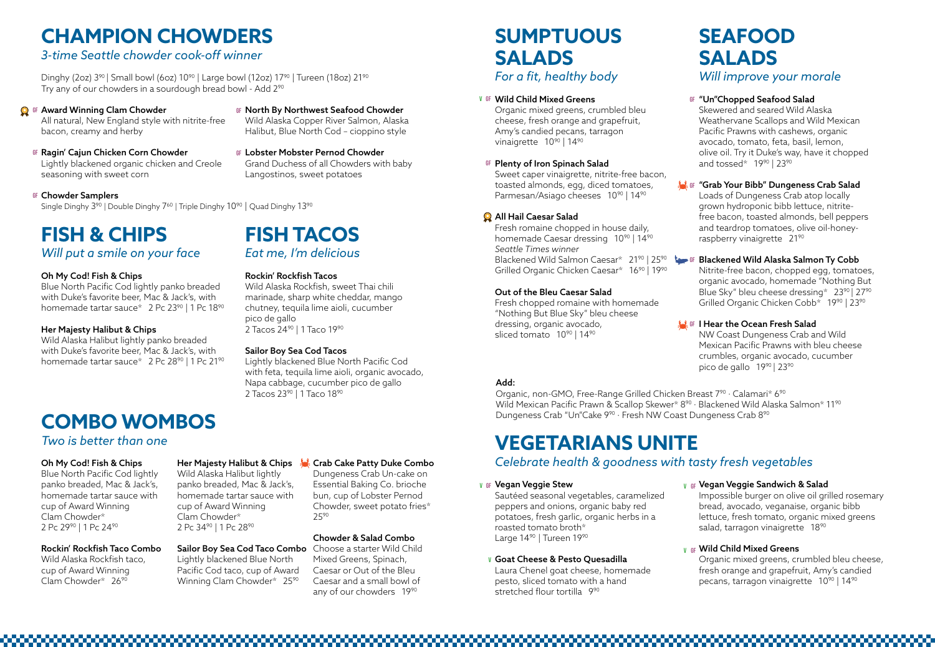# **FISH & CHIPS**

*Will put a smile on your face*

Blue North Pacific Cod lightly panko breaded with Duke's favorite beer, Mac & Jack's, with homemade tartar sauce\* 2 Pc 23<sup>90</sup> | 1 Pc 18<sup>90</sup>

### Oh My Cod! Fish & Chips

Wild Alaska Halibut lightly panko breaded with Duke's favorite beer, Mac & Jack's, with homemade tartar sauce\* 2 Pc 28<sup>90</sup> | 1 Pc 21<sup>90</sup> Wild Alaska Rockfish, sweet Thai chili marinade, sharp white cheddar, mango chutney, tequila lime aioli, cucumber pico de gallo 2 Tacos 24<sup>90</sup> | 1 Taco 19<sup>90</sup>

### Her Majesty Halibut & Chips

Lightly blackened Blue North Pacific Cod with feta, tequila lime aioli, organic avocado, Napa cabbage, cucumber pico de gallo 2 Tacos 23<sup>90</sup> | 1 Taco 18<sup>90</sup>

## **FISH TACOS** *Eat me, I'm delicious*

### Rockin' Rockfish Tacos

Dinghy (2oz)  $3^{90}$  | Small bowl (6oz)  $10^{90}$  | Large bowl (12oz)  $17^{90}$  | Tureen (18oz)  $21^{90}$ Try any of our chowders in a sourdough bread bowl - Add 290

- Ragin' Cajun Chicken Corn Chowder **GF GF** Lightly blackened organic chicken and Creole seasoning with sweet corn
- <sup>GF</sup> Chowder Samplers

Single Dinghy  $3^{90}$  | Double Dinghy  $7^{60}$  | Triple Dinghy  $10^{90}$  | Quad Dinghy  $13^{90}$ 

### Sailor Boy Sea Cod Tacos

**GF North By Northwest Seafood Chowder** Wild Alaska Copper River Salmon, Alaska

Organic mixed greens, crumbled bleu cheese, fresh orange and grapefruit, Amy's candied pecans, tarragon vinaigrette 10<sup>90</sup> | 14<sup>90</sup>

# **CHAMPION CHOWDERS**

### *3-time Seattle chowder cook-off winner*

Sweet caper vinaigrette, nitrite-free bacon, toasted almonds, egg, diced tomatoes, Parmesan/Asiago cheeses 10<sup>90</sup> | 14<sup>90</sup>

Fresh romaine chopped in house daily, homemade Caesar dressing 10<sup>90</sup> | 14<sup>90</sup> *Seattle Times winner* Blackened Wild Salmon Caesar\* 2190 | 2590 Grilled Organic Chicken Caesar\* 16<sup>90</sup> | 19<sup>90</sup>

Fresh chopped romaine with homemade "Nothing But Blue Sky" bleu cheese dressing, organic avocado, sliced tomato 10<sup>90</sup> | 14<sup>90</sup>

All natural, New England style with nitrite-free bacon, creamy and herby

> Loads of Dungeness Crab atop locally grown hydroponic bibb lettuce, nitritefree bacon, toasted almonds, bell peppers and teardrop tomatoes, olive oil-honeyraspberry vinaigrette 21<sup>90</sup>

Halibut, Blue North Cod – cioppino style

Nitrite-free bacon, chopped egg, tomatoes, organic avocado, homemade "Nothing But Blue Sky" bleu cheese dressing\* 23<sup>90</sup> | 27<sup>90</sup> Grilled Organic Chicken Cobb<sup>\*</sup> 19<sup>90</sup> | 23<sup>90</sup>

### <sup>GF</sup> | Hear the Ocean Fresh Salad

Lobster Mobster Pernod Chowder Grand Duchess of all Chowders with baby Langostinos, sweet potatoes

## **SUMPTUOUS SALADS** *For a fit, healthy body*

### **W** OF Wild Child Mixed Greens **GF**

NW Coast Dungeness Crab and Wild Mexican Pacific Prawns with bleu cheese crumbles, organic avocado, cucumber pico de gallo 19<sup>90</sup> | 23<sup>90</sup>

Sautéed seasonal vegetables, caramelized peppers and onions, organic baby red potatoes, fresh garlic, organic herbs in a roasted tomato broth\* Large 14<sup>90</sup> | Tureen 19<sup>90</sup>

### All Hail Caesar Salad

Laura Chenel goat cheese, homemade pesto, sliced tomato with a hand stretched flour tortilla 9<sup>90</sup>

Vegan Veggie Sandwich & Salad **GF V** Impossible burger on olive oil grilled rosemary bread, avocado, veganaise, organic bibb lettuce, fresh tomato, organic mixed greens salad, tarragon vinaigrette 18<sup>90</sup>

Organic mixed greens, crumbled bleu cheese, fresh orange and grapefruit, Amy's candied pecans, tarragon vinaigrette 10<sup>90</sup> | 14<sup>90</sup>

### Out of the Bleu Caesar Salad

Blue North Pacific Cod lightly panko breaded, Mac & Jack's, homemade tartar sauce with cup of Award Winning Clam Chowder\* 2 Pc 2990 | 1 Pc 2490

## **SEAFOOD SALADS** *Will improve your morale*

### GF "Un"Chopped Seafood Salad

Wild Alaska Halibut lightly panko breaded, Mac & Jack's, homemade tartar sauce with cup of Award Winning Clam Chowder\* 2 Pc 34<sup>90</sup> | 1 Pc 28<sup>90</sup>

Skewered and seared Wild Alaska Weathervane Scallops and Wild Mexican Pacific Prawns with cashews, organic avocado, tomato, feta, basil, lemon, olive oil. Try it Duke's way, have it chopped and tossed\* 1990 | 2390

### Sailor Boy Sea Cod Taco Combo Choose a starter Wild Child Lightly blackened Blue North Pacific Cod taco, cup of Award

Winning Clam Chowder\* 25<sup>90</sup>

Award Winning Clam Chowder **GF GF**



Organic, non-GMO, Free-Range Grilled Chicken Breast 7<sup>90</sup> · Calamari\* 6<sup>90</sup> Wild Mexican Pacific Prawn & Scallop Skewer\* 8<sup>90</sup> · Blackened Wild Alaska Salmon\* 11<sup>90</sup> Dungeness Crab "Un"Cake 9<sup>90</sup> · Fresh NW Coast Dungeness Crab 8<sup>90</sup>

## **VEGETARIANS UNITE** *Celebrate health & goodness with tasty fresh vegetables*

### Plenty of Iron Spinach Salad **GF**

### "Grab Your Bibb" Dungeness Crab Salad **GF**

### Blackened Wild Alaska Salmon Ty Cobb **GF**

## **COMBO WOMBOS**

### *Two is better than one*

### Oh My Cod! Fish & Chips

### Vegan Veggie Stew **V GF**

### Goat Cheese & Pesto Quesadilla **V**

### Rockin' Rockfish Taco Combo Wild Alaska Rockfish taco,

cup of Award Winning Clam Chowder\* 2690

### Wild Child Mixed Greens **GF V**

### Her Majesty Halibut & Chips Crab Cake Patty Duke Combo

Dungeness Crab Un-cake on Essential Baking Co. brioche bun, cup of Lobster Pernod Chowder, sweet potato fries\* 2590

### Chowder & Salad Combo

Mixed Greens, Spinach, Caesar or Out of the Bleu Caesar and a small bowl of any of our chowders 1990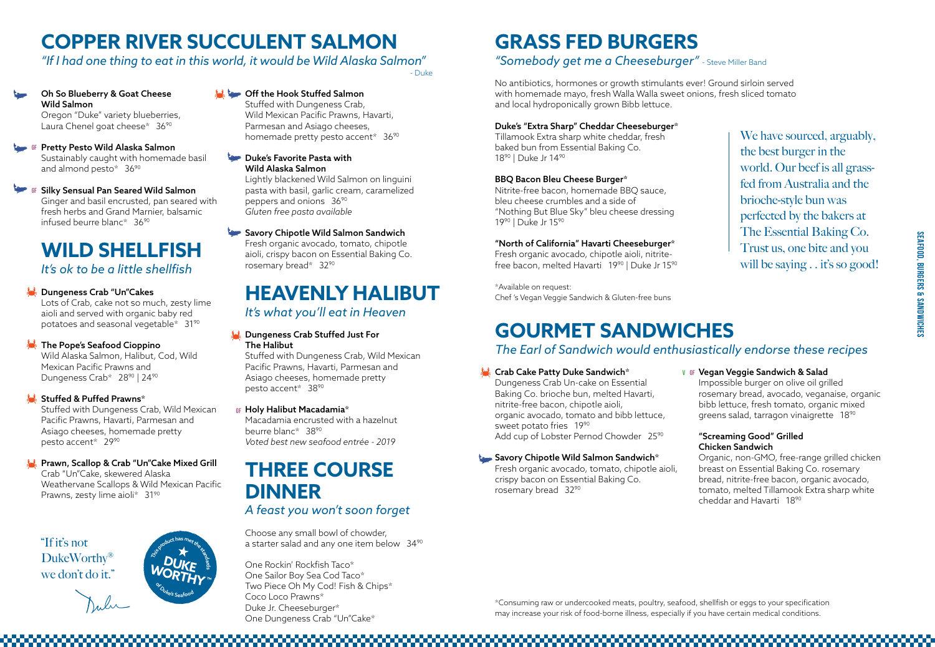## **HEAVENLY HALIBUT**

### Dungeness Crab Stuffed Just For The Halibut

### *It's what you'll eat in Heaven*

Stuffed with Dungeness Crab, Wild Mexican Pacific Prawns, Havarti, Parmesan and Asiago cheeses, homemade pretty pesto accent\* 3890

Wild Alaska Salmon, Halibut, Cod, Wild Mexican Pacific Prawns and Dungeness Crab\* 28<sup>90</sup> | 24<sup>90</sup>

### Stuffed & Puffed Prawns\*

Macadamia encrusted with a hazelnut beurre blanc\* 3890 *Voted best new seafood entrée - 2019*

# **WILD SHELLFISH**

*It's ok to be a little shellfish*

### Dungeness Crab "Un"Cakes

Crab "Un"Cake, skewered Alaska Weathervane Scallops & Wild Mexican Pacific Prawns, zesty lime aioli\* 31<sup>90</sup>

Lots of Crab, cake not so much, zesty lime aioli and served with organic baby red potatoes and seasonal vegetable\* 3190

Oh So Blueberry & Goat Cheese Wild Salmon Oregon "Duke" variety blueberries, Laura Chenel goat cheese\* 36<sup>90</sup>

### The Pope's Seafood Cioppino

Pretty Pesto Wild Alaska Salmon **GF** Sustainably caught with homemade basil and almond pesto\* 36<sup>90</sup>

Stuffed with Dungeness Crab, Wild Mexican Pacific Prawns, Havarti, Parmesan and Asiago cheeses, homemade pretty pesto accent\* 36<sup>90</sup>

Stuffed with Dungeness Crab, Wild Mexican Pacific Prawns, Havarti, Parmesan and Asiago cheeses, homemade pretty pesto accent\* 2990

**Duke's Favorite Pasta with** Wild Alaska Salmon

### Prawn, Scallop & Crab "Un"Cake Mixed Grill

# **COPPER RIVER SUCCULENT SALMON**

### *"If I had one thing to eat in this world, it would be Wild Alaska Salmon"*

Dungeness Crab Un-cake on Essential Baking Co. brioche bun, melted Havarti, nitrite-free bacon, chipotle aioli, organic avocado, tomato and bibb lettuce, sweet potato fries 1990 Add cup of Lobster Pernod Chowder 25<sup>90</sup>

### Savory Chipotle Wild Salmon Sandwich\*

Silky Sensual Pan Seared Wild Salmon **GF** Ginger and basil encrusted, pan seared with fresh herbs and Grand Marnier, balsamic infused beurre blanc\* 3690

### Off the Hook Stuffed Salmon

Tillamook Extra sharp white cheddar, fresh baked bun from Essential Baking Co. 18<sup>90</sup> | Duke Jr 14<sup>90</sup>

Fresh organic avocado, chipotle aioli, nitritefree bacon, melted Havarti 19<sup>90</sup> | Duke Jr 15<sup>90</sup>

Lightly blackened Wild Salmon on linguini pasta with basil, garlic cream, caramelized peppers and onions 3690 *Gluten free pasta available*

### Savory Chipotle Wild Salmon Sandwich

Fresh organic avocado, tomato, chipotle aioli, crispy bacon on Essential Baking Co. rosemary bread\* 3290

> \*Consuming raw or undercooked meats, poultry, seafood, shellfish or eggs to your specification may increase your risk of food-borne illness, especially if you have certain medical conditions.



We have sourced, arguably, the best burger in the world. Our beef is all grassfed from Australia and the brioche-style bun was perfected by the bakers at The Essential Baking Co. Trust us, one bite and you will be saying . . it's so good!

### **V** of Vegan Veggie Sandwich & Salad

Choose any small bowl of chowder, a starter salad and any one item below 34<sup>90</sup>

"If it's not DukeWorthy® we don't do it."

### Holy Halibut Macadamia\* **GF**

## **GOURMET SANDWICHES**  *The Earl of Sandwich would enthusiastically endorse these recipes*

### **K** Crab Cake Patty Duke Sandwich\*

Fresh organic avocado, tomato, chipotle aioli, crispy bacon on Essential Baking Co. rosemary bread 3290

## **GRASS FED BURGERS** *"Somebody get me a Cheeseburger"* - Steve Miller Band

No antibiotics, hormones or growth stimulants ever! Ground sirloin served with homemade mayo, fresh Walla Walla sweet onions, fresh sliced tomato

and local hydroponically grown Bibb lettuce.

### Duke's "Extra Sharp" Cheddar Cheeseburger\*

### BBQ Bacon Bleu Cheese Burger\*

Nitrite-free bacon, homemade BBQ sauce, bleu cheese crumbles and a side of "Nothing But Blue Sky" bleu cheese dressing 1990 | Duke Jr 1590

### "North of California" Havarti Cheeseburger\*

\*Available on request: Chef 's Vegan Veggie Sandwich & Gluten-free buns

> Impossible burger on olive oil grilled rosemary bread, avocado, veganaise, organic bibb lettuce, fresh tomato, organic mixed greens salad, tarragon vinaigrette 1890

### "Screaming Good" Grilled Chicken Sandwich

Organic, non-GMO, free-range grilled chicken breast on Essential Baking Co. rosemary bread, nitrite-free bacon, organic avocado, tomato, melted Tillamook Extra sharp white cheddar and Havarti 1890

- Duke



# **THREE COURSE DINNER**

## *A feast you won't soon forget*

One Rockin' Rockfish Taco\* One Sailor Boy Sea Cod Taco\* Two Piece Oh My Cod! Fish & Chips\* Coco Loco Prawns\* Duke Jr. Cheeseburger\* One Dungeness Crab "Un"Cake\*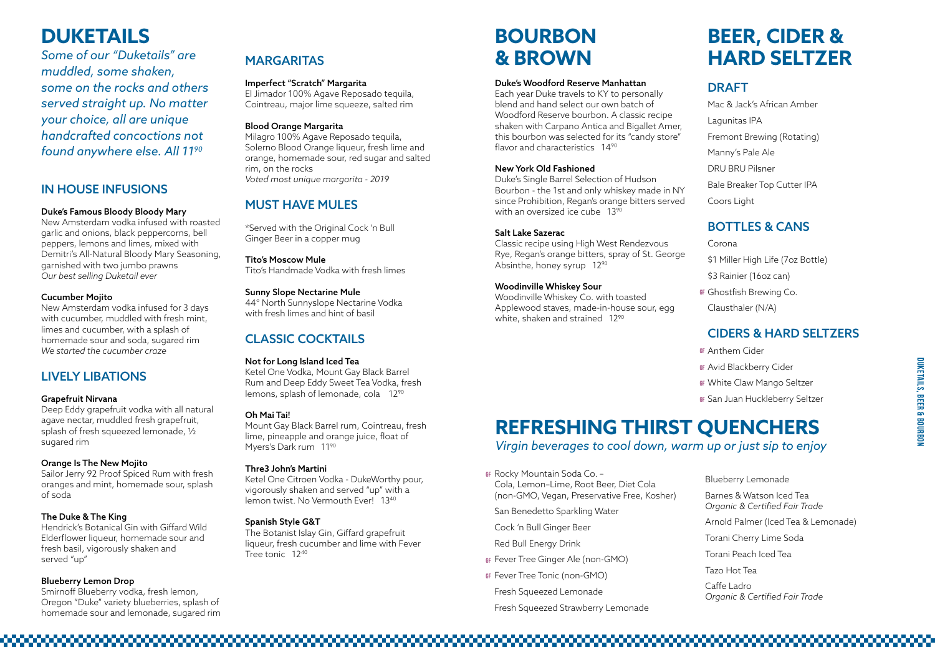## MARGARITAS

### Imperfect "Scratch" Margarita

El Jimador 100% Agave Reposado tequila, Cointreau, major lime squeeze, salted rim

### Blood Orange Margarita

Milagro 100% Agave Reposado tequila, Solerno Blood Orange liqueur, fresh lime and orange, homemade sour, red sugar and salted rim, on the rocks *Voted most unique margarita - 2019*

## **MUST HAVE MULES**

Ketel One Vodka, Mount Gay Black Barrel Rum and Deep Eddy Sweet Tea Vodka, fresh lemons, splash of lemonade, cola 12<sup>90</sup>

\*Served with the Original Cock 'n Bull Ginger Beer in a copper mug

### Tito's Moscow Mule

Ketel One Citroen Vodka - DukeWorthy pour, vigorously shaken and served "up" with a lemon twist. No Vermouth Ever! 13<sup>40</sup>

Tito's Handmade Vodka with fresh limes

### Sunny Slope Nectarine Mule

44° North Sunnyslope Nectarine Vodka with fresh limes and hint of basil

Each year Duke travels to KY to personally blend and hand select our own batch of Woodford Reserve bourbon. A classic recipe shaken with Carpano Antica and Bigallet Amer, this bourbon was selected for its "candy store" flavor and characteristics 14<sup>90</sup>

## CLASSIC COCKTAILS

### Not for Long Island Iced Tea

Duke's Single Barrel Selection of Hudson Bourbon - the 1st and only whiskey made in NY since Prohibition, Regan's orange bitters served with an oversized ice cube 13<sup>90</sup>

### Oh Mai Tai!

Mount Gay Black Barrel rum, Cointreau, fresh lime, pineapple and orange juice, float of Myers's Dark rum 1190

Classic recipe using High West Rendezvous Rye, Regan's orange bitters, spray of St. George Absinthe, honey syrup 12<sup>90</sup>

### Thre3 John's Martini

Woodinville Whiskey Co. with toasted Applewood staves, made-in-house sour, egg white, shaken and strained 12<sup>90</sup>

### Spanish Style G&T

The Botanist Islay Gin, Giffard grapefruit liqueur, fresh cucumber and lime with Fever Tree tonic 1240

## **BOURBON & BROWN**

### Duke's Woodford Reserve Manhattan

**Blueberry Lemonade** Barnes & Watson Iced Tea *Organic & Certified Fair Trade* Arnold Palmer (Iced Tea & Lemonade) Torani Cherry Lime Soda Torani Peach Iced Tea Tazo Hot Tea Caffe Ladro *Organic & Certified Fair Trade* 

### New York Old Fashioned

### Salt Lake Sazerac

### Woodinville Whiskey Sour

## **BEER, CIDER & HARD SELTZER**

### DRAFT

Mac & Jack's African Amber Lagunitas IPA Fremont Brewing (Rotating) Manny's Pale Ale DRU BRU Pilsner Bale Breaker Top Cutter IPA Coors Light

## BOTTLES & CANS

Corona \$1 Miller High Life (7oz Bottle) \$3 Rainier (16oz can) **GF** Ghostfish Brewing Co. Clausthaler (N/A)

## CIDERS & HARD SELTZERS

Anthem Cider **GF** Avid Blackberry Cider **GF** White Claw Mango Seltzer **GF**

San Juan Huckleberry Seltzer **GF**

Cola, Lemon–Lime, Root Beer, Diet Cola (non-GMO, Vegan, Preservative Free, Kosher)

San Benedetto Sparkling Water

Cock 'n Bull Ginger Beer

Red Bull Energy Drink

- Fever Tree Ginger Ale (non-GMO) **GF**
- Fever Tree Tonic (non-GMO) **GF**

Fresh Squeezed Lemonade

Fresh Squeezed Strawberry Lemonade

## **REFRESHING THIRST QUENCHERS** *Virgin beverages to cool down, warm up or just sip to enjoy*

GF Rocky Mountain Soda Co. -

# **DUKETAILS**

*Some of our "Duketails" are muddled, some shaken, some on the rocks and others served straight up. No matter your choice, all are unique handcrafted concoctions not found anywhere else. All 1190*

### IN HOUSE INFUSIONS

### Duke's Famous Bloody Bloody Mary

New Amsterdam vodka infused with roasted garlic and onions, black peppercorns, bell peppers, lemons and limes, mixed with Demitri's All-Natural Bloody Mary Seasoning, garnished with two jumbo prawns *Our best selling Duketail ever*

### Cucumber Mojito

New Amsterdam vodka infused for 3 days with cucumber, muddled with fresh mint, limes and cucumber, with a splash of homemade sour and soda, sugared rim *We started the cucumber craze*

## LIVELY LIBATIONS

### Grapefruit Nirvana

Deep Eddy grapefruit vodka with all natural agave nectar, muddled fresh grapefruit, splash of fresh squeezed lemonade, ½ sugared rim

### Orange Is The New Mojito

Sailor Jerry 92 Proof Spiced Rum with fresh oranges and mint, homemade sour, splash of soda

### The Duke & The King

Hendrick's Botanical Gin with Giffard Wild Elderflower liqueur, homemade sour and fresh basil, vigorously shaken and served "up"

### Blueberry Lemon Drop

Smirnoff Blueberry vodka, fresh lemon, Oregon "Duke" variety blueberries, splash of homemade sour and lemonade, sugared rim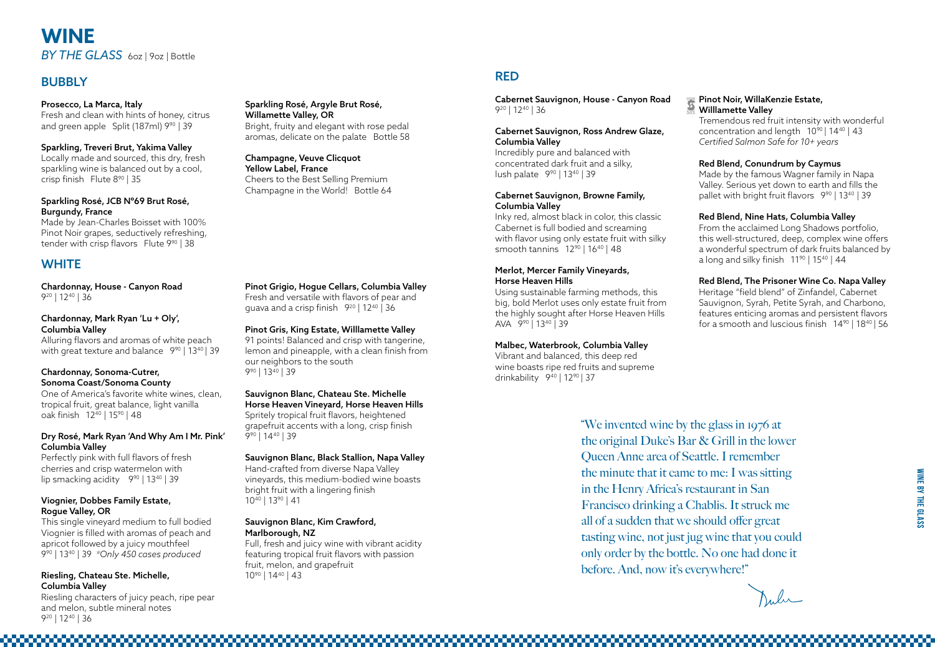

## **WINE**  *BY THE GLASS* 6oz | 9oz | Bottle

### **BUBBLY**

### Pinot Grigio, Hogue Cellars, Columbia Valley

Fresh and versatile with flavors of pear and guava and a crisp finish 920 | 1240 | 36

### Pinot Gris, King Estate, Willlamette Valley

91 points! Balanced and crisp with tangerine, lemon and pineapple, with a clean finish from our neighbors to the south 990 | 1340 | 39

### Sauvignon Blanc, Chateau Ste. Michelle Horse Heaven Vineyard, Horse Heaven Hills

Spritely tropical fruit flavors, heightened grapefruit accents with a long, crisp finish 990 | 1440 | 39

### Sauvignon Blanc, Black Stallion, Napa Valley

Hand-crafted from diverse Napa Valley vineyards, this medium-bodied wine boasts bright fruit with a lingering finish 1040 | 1390 | 41

### Sauvignon Blanc, Kim Crawford, Marlborough, NZ

Vibrant and balanced, this deep red wine boasts ripe red fruits and supreme drinkability 9<sup>40</sup> | 12<sup>90</sup> | 37

Full, fresh and juicy wine with vibrant acidity featuring tropical fruit flavors with passion fruit, melon, and grapefruit 1090 | 1440 | 43

## RED

Cabernet Sauvignon, House - Canyon Road 920 | 1240 | 36

### Cabernet Sauvignon, Ross Andrew Glaze, Columbia Valley

From the acclaimed Long Shadows portfolio, this well-structured, deep, complex wine offers a wonderful spectrum of dark fruits balanced by a long and silky finish  $11^{90}$  |  $15^{40}$  |  $44$ 

Incredibly pure and balanced with concentrated dark fruit and a silky, lush palate 990 | 1340 | 39

> Heritage "field blend" of Zinfandel, Cabernet Sauvignon, Syrah, Petite Syrah, and Charbono, features enticing aromas and persistent flavors for a smooth and luscious finish  $14^{90}$  |  $18^{40}$  | 56

Malu

### Cabernet Sauvignon, Browne Family, Columbia Valley

Fresh and clean with hints of honey, citrus and green apple Split (187ml) 9<sup>90</sup> | 39

> Inky red, almost black in color, this classic Cabernet is full bodied and screaming with flavor using only estate fruit with silky smooth tannins 1290 | 1640 | 48

### Merlot, Mercer Family Vineyards, Horse Heaven Hills

Made by Jean-Charles Boisset with 100% Pinot Noir grapes, seductively refreshing, tender with crisp flavors Flute 9<sup>90</sup> | 38

## **WHITE**

Using sustainable farming methods, this big, bold Merlot uses only estate fruit from the highly sought after Horse Heaven Hills AVA 990 | 1340 | 39

### Malbec, Waterbrook, Columbia Valley

Alluring flavors and aromas of white peach with great texture and balance 9<sup>90</sup> | 13<sup>40</sup> | 39

### Pinot Noir, WillaKenzie Estate, Willlamette Valley

Tremendous red fruit intensity with wonderful concentration and length 1090 | 1440 | 43 *Certified Salmon Safe for 10+ years* 

Perfectly pink with full flavors of fresh cherries and crisp watermelon with lip smacking acidity 9<sup>90</sup> | 13<sup>40</sup> | 39

### Red Blend, Conundrum by Caymus

Made by the famous Wagner family in Napa Valley. Serious yet down to earth and fills the pallet with bright fruit flavors 990 | 1340 | 39

"We invented wine by the glass in 1976 at the original Duke's Bar & Grill in the lower Queen Anne area of Seattle. I remember the minute that it came to me: I was sitting in the Henry Africa's restaurant in San Francisco drinking a Chablis. It struck me all of a sudden that we should offer great tasting wine, not just jug wine that you could only order by the bottle. No one had done it before. And, now it's everywhere!"



### Red Blend, Nine Hats, Columbia Valley

### Red Blend, The Prisoner Wine Co. Napa Valley

### Prosecco, La Marca, Italy

### Sparkling, Treveri Brut, Yakima Valley

Locally made and sourced, this dry, fresh sparkling wine is balanced out by a cool, crisp finish Flute 890 | 35

### Sparkling Rosé, JCB Nº69 Brut Rosé, Burgundy, France

### Sparkling Rosé, Argyle Brut Rosé, Willamette Valley, OR

Bright, fruity and elegant with rose pedal aromas, delicate on the palate Bottle 58

Champagne, Veuve Clicquot Yellow Label, France Cheers to the Best Selling Premium Champagne in the World! Bottle 64

Chardonnay, House - Canyon Road 920 | 1240 | 36

### Chardonnay, Mark Ryan 'Lu + Oly', Columbia Valley

#### Chardonnay, Sonoma-Cutrer, Sonoma Coast/Sonoma County

One of America's favorite white wines, clean, tropical fruit, great balance, light vanilla oak finish 1240 | 1590 | 48

### Dry Rosé, Mark Ryan 'And Why Am I Mr. Pink' Columbia Valley

### Viognier, Dobbes Family Estate, Rogue Valley, OR

This single vineyard medium to full bodied Viognier is filled with aromas of peach and apricot followed by a juicy mouthfeel 990 | 1340 | 39 *\*Only 450 cases produced*

### Riesling, Chateau Ste. Michelle, Columbia Valley

Riesling characters of juicy peach, ripe pear and melon, subtle mineral notes 920 | 1240 | 36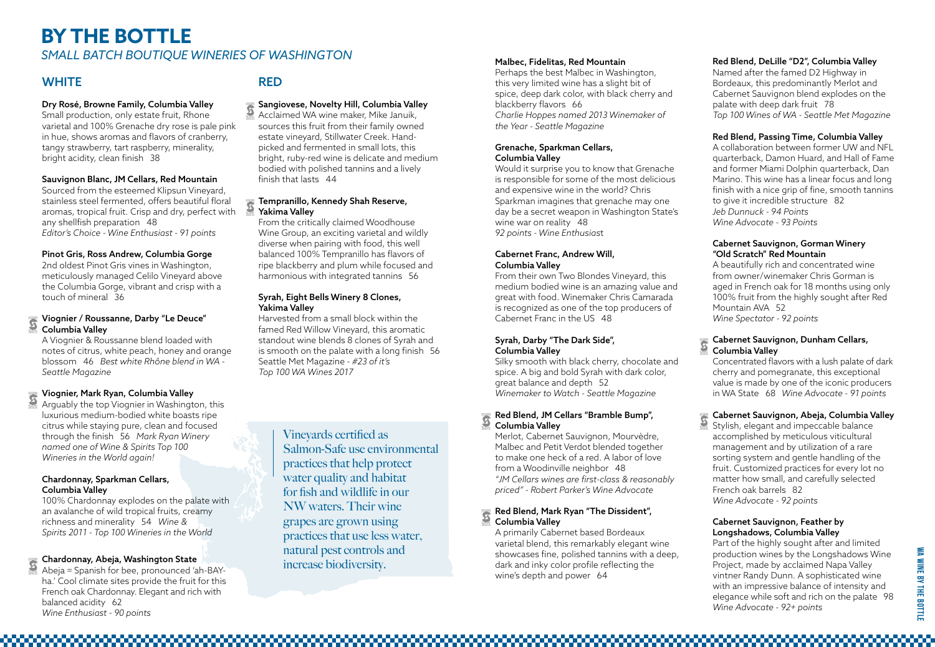**WA Wine By The Bottle**

WA WINE BY THE BOTTLE

### Dry Rosé, Browne Family, Columbia Valley

Small production, only estate fruit, Rhone varietal and 100% Grenache dry rose is pale pink in hue, shows aromas and flavors of cranberry, tangy strawberry, tart raspberry, minerality, bright acidity, clean finish 38

### Sauvignon Blanc, JM Cellars, Red Mountain

Sourced from the esteemed Klipsun Vineyard, stainless steel fermented, offers beautiful floral aromas, tropical fruit. Crisp and dry, perfect with any shellfish preparation 48 *Editor's Choice - Wine Enthusiast - 91 points*

### Pinot Gris, Ross Andrew, Columbia Gorge

2nd oldest Pinot Gris vines in Washington, meticulously managed Celilo Vineyard above the Columbia Gorge, vibrant and crisp with a touch of mineral 36

### Viognier / Roussanne, Darby "Le Deuce" Columbia Valley

A Viognier & Roussanne blend loaded with notes of citrus, white peach, honey and orange blossom 46 *Best white Rhône blend in WA - Seattle Magazine* 

### Viognier, Mark Ryan, Columbia Valley

Arguably the top Viognier in Washington, this luxurious medium-bodied white boasts ripe citrus while staying pure, clean and focused through the finish 56 *Mark Ryan Winery named one of Wine & Spirits Top 100 Wineries in the World again!* 

### Chardonnay, Sparkman Cellars, Columbia Valley

## **BY THE BOTTLE SMALL BATCH BOUTIQUE WINERIES OF WASHINGTON** Malbec, Fidelitas, Red Mountain

### **WHITE**

100% Chardonnay explodes on the palate with an avalanche of wild tropical fruits, creamy richness and minerality 54 *Wine & Spirits 2011 - Top 100 Wineries in the World*

### Chardonnay, Abeja, Washington State

Abeja = Spanish for bee, pronounced 'ah-BAYha.' Cool climate sites provide the fruit for this French oak Chardonnay. Elegant and rich with balanced acidity 62 *Wine Enthusiast* - *90 points* 

### RED

### Sangiovese, Novelty Hill, Columbia Valley

Acclaimed WA wine maker, Mike Januik, sources this fruit from their family owned estate vineyard, Stillwater Creek. Handpicked and fermented in small lots, this bright, ruby-red wine is delicate and medium bodied with polished tannins and a lively finish that lasts 44

### Tempranillo, Kennedy Shah Reserve, Yakima Valley

From the critically claimed Woodhouse Wine Group, an exciting varietal and wildly diverse when pairing with food, this well balanced 100% Tempranillo has flavors of ripe blackberry and plum while focused and harmonious with integrated tannins 56

### Syrah, Eight Bells Winery 8 Clones, Yakima Valley

Harvested from a small block within the famed Red Willow Vineyard, this aromatic standout wine blends 8 clones of Syrah and is smooth on the palate with a long finish 56 Seattle Met Magazine - *#23 of it's Top 100 WA Wines 2017*

Perhaps the best Malbec in Washington, this very limited wine has a slight bit of spice, deep dark color, with black cherry and blackberry flavors 66 *Charlie Hoppes named 2013 Winemaker of the Year - Seattle Magazine*

### Grenache, Sparkman Cellars, Columbia Valley

Part of the highly sought after and limited production wines by the Longshadows Wine Project, made by acclaimed Napa Valley vintner Randy Dunn. A sophisticated wine with an impressive balance of intensity and elegance while soft and rich on the palate 98 *Wine Advocate - 92+ points* 

Would it surprise you to know that Grenache is responsible for some of the most delicious and expensive wine in the world? Chris Sparkman imagines that grenache may one day be a secret weapon in Washington State's wine war on reality 48 *92 points - Wine Enthusias*t

### Cabernet Franc, Andrew Will, Columbia Valley

From their own Two Blondes Vineyard, this medium bodied wine is an amazing value and great with food. Winemaker Chris Camarada is recognized as one of the top producers of Cabernet Franc in the US 48

### Syrah, Darby "The Dark Side", Columbia Valley

Silky smooth with black cherry, chocolate and spice. A big and bold Syrah with dark color, great balance and depth 52 *Winemaker to Watch - Seattle Magazine*

### Red Blend, JM Cellars "Bramble Bump", Columbia Valley

Merlot, Cabernet Sauvignon, Mourvèdre, Malbec and Petit Verdot blended together to make one heck of a red. A labor of love from a Woodinville neighbor48 *"JM Cellars wines are first-class & reasonably priced" - Robert Parker's Wine Advocate*

### Red Blend, Mark Ryan "The Dissident", Columbia Valley

A primarily Cabernet based Bordeaux varietal blend, this remarkably elegant wine showcases fine, polished tannins with a deep, dark and inky color profile reflecting the wine's depth and power 64

### Red Blend, DeLille "D2", Columbia Valley

Named after the famed D2 Highway in Bordeaux, this predominantly Merlot and Cabernet Sauvignon blend explodes on the palate with deep dark fruit 78 *Top 100 Wines of WA - Seattle Met Magazine*

### Red Blend, Passing Time, Columbia Valley

A collaboration between former UW and NFL quarterback, Damon Huard, and Hall of Fame and former Miami Dolphin quarterback, Dan Marino. This wine has a linear focus and long finish with a nice grip of fine, smooth tannins to give it incredible structure 82 *Jeb Dunnuck - 94 Points Wine Advocate* - *93 Points*

### Cabernet Sauvignon, Gorman Winery "Old Scratch" Red Mountain

A beautifully rich and concentrated wine from owner/winemaker Chris Gorman is aged in French oak for 18 months using only 100% fruit from the highly sought after Red Mountain AVA 52 *Wine Spectator - 92 points*

### Cabernet Sauvignon, Dunham Cellars, Columbia Valley

Concentrated flavors with a lush palate of dark cherry and pomegranate, this exceptional value is made by one of the iconic producers in WA State 68 *Wine Advocate - 91 points* 

### Cabernet Sauvignon, Abeja, Columbia Valley

Stylish, elegant and impeccable balance accomplished by meticulous viticultural management and by utilization of a rare sorting system and gentle handling of the fruit. Customized practices for every lot no matter how small, and carefully selected French oak barrels 82 *Wine Advocat*e - *92 points* 

### Cabernet Sauvignon, Feather by Longshadows, Columbia Valley

Vineyards certified as Salmon-Safe use environmental practices that help protect water quality and habitat for fish and wildlife in our NW waters. Their wine grapes are grown using practices that use less water, natural pest controls and increase biodiversity.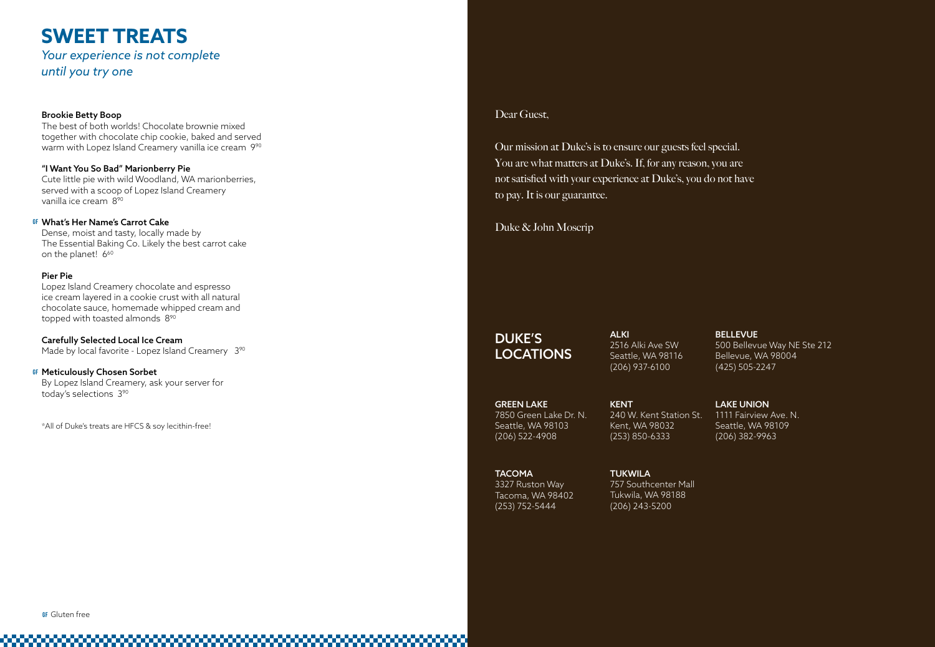### ALKI 2516 Alki Ave SW Seattle, WA 98116 (206) 937-6100

## DUKE'S LOCATIONS

TACOMA 3327 Ruston Way Tacoma, WA 98402 (253) 752-5444

500 Bellevue Way NE Ste 212 Bellevue, WA 98004 (425) 505-2247

**TUKWILA** 757 Southcenter Mall Tukwila, WA 98188 (206) 243-5200

### LAKE UNION

1111 Fairview Ave. N. Seattle, WA 98109 (206) 382-9963

GREEN LAKE 7850 Green Lake Dr. N. Seattle, WA 98103 (206) 522-4908

The best of both worlds! Chocolate brownie mixed together with chocolate chip cookie, baked and served warm with Lopez Island Creamery vanilla ice cream 990

> KENT 240 W. Kent Station St. Kent, WA 98032 (253) 850-6333

### Dear Guest,

Dense, moist and tasty, locally made by The Essential Baking Co. Likely the best carrot cake on the planet! 6<sup>60</sup>

Our mission at Duke's is to ensure our guests feel special. You are what matters at Duke's. If, for any reason, you are not satisfied with your experience at Duke's, you do not have to pay. It is our guarantee.

Lopez Island Creamery chocolate and espresso ice cream layered in a cookie crust with all natural chocolate sauce, homemade whipped cream and topped with toasted almonds 8<sup>90</sup>

Carefully Selected Local Ice Cream Made by local favorite - Lopez Island Creamery 3<sup>90</sup> Duke & John Moscrip

### Brookie Betty Boop

### "I Want You So Bad" Marionberry Pie

Cute little pie with wild Woodland, WA marionberries, served with a scoop of Lopez Island Creamery vanilla ice cream 890

### Pier Pie

### What's Her Name's Carrot Cake **gf**

By Lopez Island Creamery, ask your server for today's selections 390

### Meticulously Chosen Sorbet **gf**

\*All of Duke's treats are HFCS & soy lecithin-free!

#### **BELLEVUE**

## **SWEET TREATS**

*Your experience is not complete until you try one*